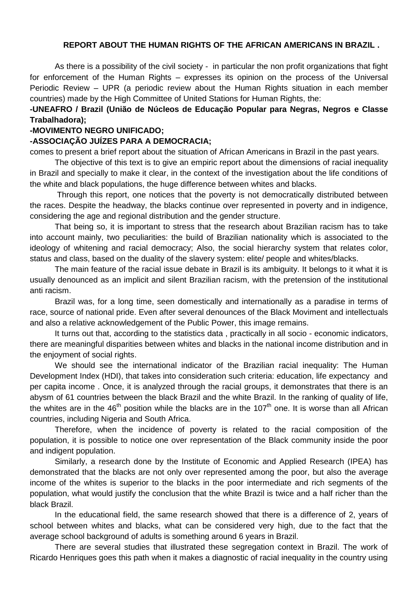## **REPORT ABOUT THE HUMAN RIGHTS OF THE AFRICAN AMERICANS IN BRAZIL .**

As there is a possibility of the civil society - in particular the non profit organizations that fight for enforcement of the Human Rights – expresses its opinion on the process of the Universal Periodic Review – UPR (a periodic review about the Human Rights situation in each member countries) made by the High Committee of United Stations for Human Rights, the:

## **-UNEAFRO / Brazil (União de Núcleos de Educação Popular para Negras, Negros e Classe Trabalhadora);**

## **-MOVIMENTO NEGRO UNIFICADO;**

## **-ASSOCIAÇÃO JUÍZES PARA A DEMOCRACIA;**

comes to present a brief report about the situation of African Americans in Brazil in the past years.

The objective of this text is to give an empiric report about the dimensions of racial inequality in Brazil and specially to make it clear, in the context of the investigation about the life conditions of the white and black populations, the huge difference between whites and blacks.

Through this report, one notices that the poverty is not democratically distributed between the races. Despite the headway, the blacks continue over represented in poverty and in indigence, considering the age and regional distribution and the gender structure.

That being so, it is important to stress that the research about Brazilian racism has to take into account mainly, two peculiarities: the build of Brazilian nationality which is associated to the ideology of whitening and racial democracy; Also, the social hierarchy system that relates color, status and class, based on the duality of the slavery system: elite/ people and whites/blacks.

The main feature of the racial issue debate in Brazil is its ambiguity. It belongs to it what it is usually denounced as an implicit and silent Brazilian racism, with the pretension of the institutional anti racism.

Brazil was, for a long time, seen domestically and internationally as a paradise in terms of race, source of national pride. Even after several denounces of the Black Moviment and intellectuals and also a relative acknowledgement of the Public Power, this image remains.

It turns out that, according to the statistics data , practically in all socio - economic indicators, there are meaningful disparities between whites and blacks in the national income distribution and in the enjoyment of social rights.

We should see the international indicator of the Brazilian racial inequality: The Human Development Index (HDI), that takes into consideration such criteria: education, life expectancy and per capita income . Once, it is analyzed through the racial groups, it demonstrates that there is an abysm of 61 countries between the black Brazil and the white Brazil. In the ranking of quality of life, the whites are in the  $46<sup>th</sup>$  position while the blacks are in the 107<sup>th</sup> one. It is worse than all African countries, including Nigeria and South Africa.

Therefore, when the incidence of poverty is related to the racial composition of the population, it is possible to notice one over representation of the Black community inside the poor and indigent population.

Similarly, a research done by the Institute of Economic and Applied Research (IPEA) has demonstrated that the blacks are not only over represented among the poor, but also the average income of the whites is superior to the blacks in the poor intermediate and rich segments of the population, what would justify the conclusion that the white Brazil is twice and a half richer than the black Brazil.

In the educational field, the same research showed that there is a difference of 2, years of school between whites and blacks, what can be considered very high, due to the fact that the average school background of adults is something around 6 years in Brazil.

There are several studies that illustrated these segregation context in Brazil. The work of Ricardo Henriques goes this path when it makes a diagnostic of racial inequality in the country using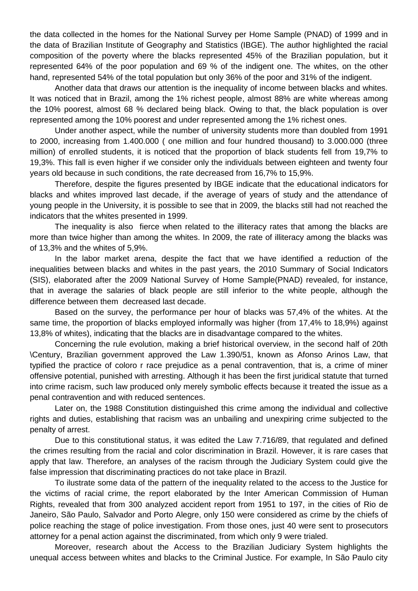the data collected in the homes for the National Survey per Home Sample (PNAD) of 1999 and in the data of Brazilian Institute of Geography and Statistics (IBGE). The author highlighted the racial composition of the poverty where the blacks represented 45% of the Brazilian population, but it represented 64% of the poor population and 69 % of the indigent one. The whites, on the other hand, represented 54% of the total population but only 36% of the poor and 31% of the indigent.

Another data that draws our attention is the inequality of income between blacks and whites. It was noticed that in Brazil, among the 1% richest people, almost 88% are white whereas among the 10% poorest, almost 68 % declared being black. Owing to that, the black population is over represented among the 10% poorest and under represented among the 1% richest ones.

Under another aspect, while the number of university students more than doubled from 1991 to 2000, increasing from 1.400.000 ( one million and four hundred thousand) to 3.000.000 (three million) of enrolled students, it is noticed that the proportion of black students fell from 19,7% to 19,3%. This fall is even higher if we consider only the individuals between eighteen and twenty four years old because in such conditions, the rate decreased from 16,7% to 15,9%.

Therefore, despite the figures presented by IBGE indicate that the educational indicators for blacks and whites improved last decade, if the average of years of study and the attendance of young people in the University, it is possible to see that in 2009, the blacks still had not reached the indicators that the whites presented in 1999.

The inequality is also fierce when related to the illiteracy rates that among the blacks are more than twice higher than among the whites. In 2009, the rate of illiteracy among the blacks was of 13,3% and the whites of 5,9%.

In the labor market arena, despite the fact that we have identified a reduction of the inequalities between blacks and whites in the past years, the 2010 Summary of Social Indicators (SIS), elaborated after the 2009 National Survey of Home Sample(PNAD) revealed, for instance, that in average the salaries of black people are still inferior to the white people, although the difference between them decreased last decade.

Based on the survey, the performance per hour of blacks was 57,4% of the whites. At the same time, the proportion of blacks employed informally was higher (from 17,4% to 18,9%) against 13,8% of whites), indicating that the blacks are in disadvantage compared to the whites.

Concerning the rule evolution, making a brief historical overview, in the second half of 20th \Century, Brazilian government approved the Law 1.390/51, known as Afonso Arinos Law, that typified the practice of coloro r race prejudice as a penal contravention, that is, a crime of miner offensive potential, punished with arresting. Although it has been the first juridical statute that turned into crime racism, such law produced only merely symbolic effects because it treated the issue as a penal contravention and with reduced sentences.

Later on, the 1988 Constitution distinguished this crime among the individual and collective rights and duties, establishing that racism was an unbailing and unexpiring crime subjected to the penalty of arrest.

Due to this constitutional status, it was edited the Law 7.716/89, that regulated and defined the crimes resulting from the racial and color discrimination in Brazil. However, it is rare cases that apply that law. Therefore, an analyses of the racism through the Judiciary System could give the false impression that discriminating practices do not take place in Brazil.

To ilustrate some data of the pattern of the inequality related to the access to the Justice for the victims of racial crime, the report elaborated by the Inter American Commission of Human Rights, revealed that from 300 analyzed accident report from 1951 to 197, in the cities of Rio de Janeiro, São Paulo, Salvador and Porto Alegre, only 150 were considered as crime by the chiefs of police reaching the stage of police investigation. From those ones, just 40 were sent to prosecutors attorney for a penal action against the discriminated, from which only 9 were trialed.

Moreover, research about the Access to the Brazilian Judiciary System highlights the unequal access between whites and blacks to the Criminal Justice. For example, In São Paulo city